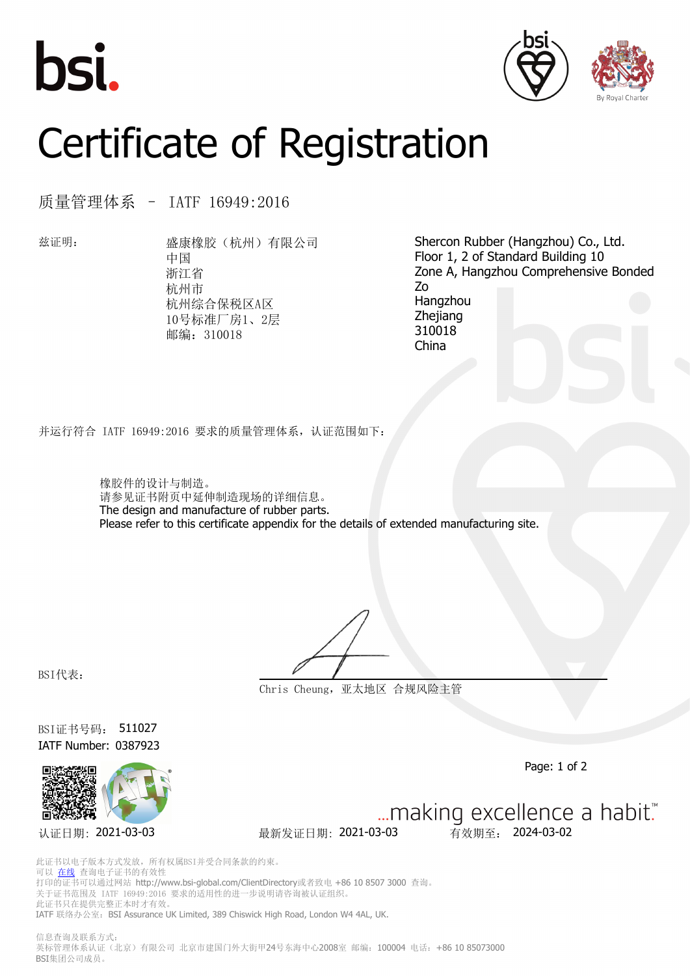





## Certificate of Registration

质量管理体系 – IATF 16949:2016

兹证明: 盛康橡胶(杭州)有限公司 中国 浙江省 杭州市 杭州综合保税区A区 10号标准厂房1、2层 邮编:310018

Shercon Rubber (Hangzhou) Co., Ltd. Floor 1, 2 of Standard Building 10 Zone A, Hangzhou Comprehensive Bonded Zo Hangzhou Zhejiang 310018 China

并运行符合 IATF 16949:2016 要求的质量管理体系,认证范围如下:

橡胶件的设计与制造。 请参见证书附页中延伸制造现场的详细信息。 The design and manufacture of rubber parts. Please refer to this certificate appendix for the details of extended manufacturing site.

BSI代表:

**Chris Cheung,亚太地区 合规风险主管**

BSI证书号码: 511027 IATF Number: 0387923



Page: 1 of 2

... making excellence a habit." 认证日期: 2021-03-03 最新发证日期: 2021-03-03 有效期至: 2024-03-02

此证书以电子版本方式发放,所有权属BSI并受合同条款的约束。 可以 [在线](https://pgplus.bsigroup.com/CertificateValidation/CertificateValidator.aspx?CertificateNumber=511027&ReIssueDate=03%2f03%2f2021&Template=cn) 查询电子证书的有效性 打印的证书可以通过网站 http://www.bsi-global.com/ClientDirectory或者致电 +86 10 8507 3000 查询。 关于证书范围及 IATF 16949:2016 要求的适用性的进一步说明请咨询被认证组织。 此证书只在提供完整正本时才有效。 IATF 联络办公室: BSI Assurance UK Limited, 389 Chiswick High Road, London W4 4AL, UK.